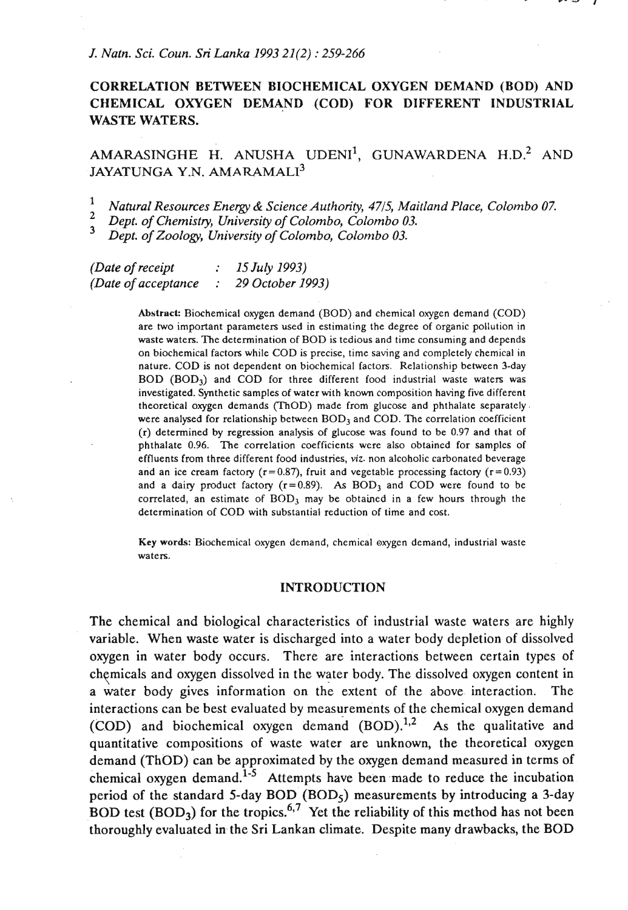# **CORRELATION BETWEEN BIOCHEMICAL OXYGEN DEMAND (BOD) AND CHEMICAL OXYGEN DEMAND (COD) FOR DIFFERENT INDUSTRIAL WASTE WATERS.**

# $AMARASINGHE$  H. ANUSHA UDENI<sup>1</sup>, GUNAWARDENA H.D.<sup>2</sup> AND JAYATUNGA Y.N. AMARAMALI<sup>3</sup>

 $\mathbf{1}$ *Natural Resources Energy* & *Science Authority, 4715, Maitland Place, Colombo 07.*   $\overline{2}$ 

*Dept. of Chemistry, University of Colombo, Colombo 03.*   $\overline{\mathbf{3}}$ 

*Dept. of Zoology, University of Colombo, Colombo 03.* 

*(Date of receipt* : *15 July 1993) (Date of acceptance* : *29 October 1993)* 

> Abstract: Biochemical oxygen demand (BOD) and chemical oxygen demand (COD) are two important parameters used in estimating the degree of organic pollution in waste waters. The determination of BOD is tedious and time consuming and depends on biochemical factors while COD is precise, time saving and completely chemical in nature. COD is not dependent on biochemical factors. Relationship between 3-day  $BOD (BOD<sub>3</sub>)$  and  $COD$  for three different food industrial waste waters was investigated. Synthetic samples of water with known composition having five different theoretical oxygen demands (ThOD) made from glucose and phthalate separately. were analysed for relationship between  $BOD<sub>3</sub>$  and  $COD$ . The correlation coefficient (r) determined by regression analysis of glucose was found to be 0.97 and that of phthalate 0.96. The correlation coefficients were also obtained for samples of effluents from three different food industries, viz. non alcoholic carbonated beverage and an ice cream factory ( $r = 0.87$ ), fruit and vegetable processing factory ( $r = 0.93$ ) and a dairy product factory  $(r=0.89)$ . As  $BOD_3$  and COD were found to be correlated, an estimate of  $BOD_3$  may be obtained in a few hours through the determination of COD with substantial reduction of time and cost.

**Key words:** Biochemical oxygen demand, chemical oxygen demand, industrial waste waters.

#### **INTRODUCTION**

The chemical and biological characteristics of industrial waste waters are highly variable. When waste water is discharged into a water body depletion of dissolved oxygen in water body occurs. There are interactions between certain types of chemicals and oxygen dissolved in the water body. The dissolved oxygen content in a water body gives information on the extent of the above interaction. The interactions can be best evaluated by measurements of the chemical oxygen demand **(COD)** and biochemical oxygen demand  $(BOD)$ .<sup>1,2</sup> As the qualitative and quantitative compositions of waste water are unknown, the theoretical oxygen demand **(ThOD)** can be approximated by the oxygen demand measured in terms of chemical oxygen demand.<sup>1-5</sup> Attempts have been made to reduce the incubation period of the standard 5-day **BOD (BOD5)** measurements by introducing a 3-day **BOD** test  $(BOD_3)$  for the tropics.<sup>6,7</sup> Yet the reliability of this method has not been thoroughly evaluated **in.** the Sri Lankan climate. Despite many drawbacks, the **BOD**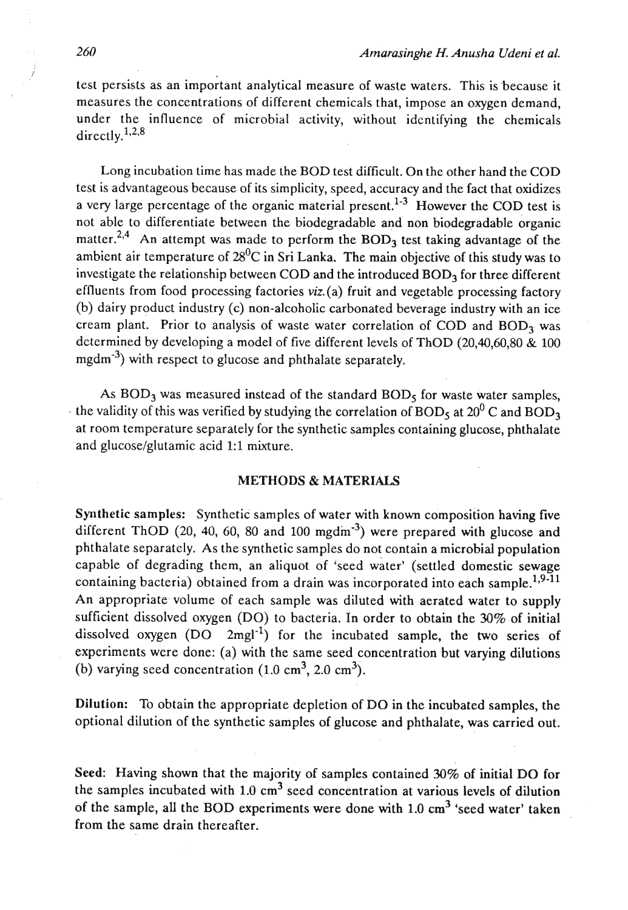test persists as an important analytical measure of waste waters. This is because it measures the concentrations of different chemicals that, impose an oxygen demand, under the influence of microbial activity, without identifying the chemicals directly,  $1,2,8$ 

Long incubation time has made the BOD test difficult. On the other hand the COD test is advantageous because of its simplicity, speed, accuracy and the fact that oxidizes a very large percentage of the organic material present.<sup>1-3</sup> However the COD test is not able to differentiate between the biodegradable and non biodegradable organic matter.<sup>2,4</sup> An attempt was made to perform the  $BOD<sub>3</sub>$  test taking advantage of the ambient air temperature of  $28^{0}C$  in Sri Lanka. The main objective of this study was to investigate the relationship between COD and the introduced BOD<sub>3</sub> for three different effluents from food processing factories viz.(a) fruit and vegetable processing factory (b) dairy product industry (c) non-alcoholic carbonated beverage industry with an ice cream plant. Prior to analysis of waste water correlation of COD and  $BOD<sub>3</sub>$  was determined by developing a model of five different levels of ThOD (20,40,60,80 & 100 mgdm $^{-3}$ ) with respect to glucose and phthalate separately.

As  $BOD_3$  was measured instead of the standard  $BOD_5$  for waste water samples, the validity of this was verified by studying the correlation of BOD<sub>5</sub> at 20<sup>0</sup> C and BOD<sub>3</sub> at room temperature separately for the synthetic samples containing glucose, phthalate and glucose/glutamic acid 1:l mixture.

# METHODS & MATERIALS

Synthetic samples: Synthetic samples of water with known composition having five different ThOD  $(20, 40, 60, 80, 40, 100, \text{mgdm}^3)$  were prepared with glucose and phthalate separately. As the synthetic samples do not contain a microbial population capable of degrading them, an aliquot of 'seed water' (settled domestic sewage containing bacteria) obtained from a drain was incorporated into each sample.<sup>1,9-11</sup> An appropriate. volume of each sample was diluted with aerated water to supply sufficient dissolved oxygen (DO) to bacteria. In order to obtain the 30% of initial dissolved oxygen  $(DO 2mgl<sup>-1</sup>)$  for the incubated sample, the two series of experiments were done: (a) with the same seed concentration but varying dilutions (b) varying seed concentration  $(1.0 \text{ cm}^3, 2.0 \text{ cm}^3)$ .

Dilution: To obtain the appropriate depletion of DO in the incubated samples, the optional dilution of the synthetic samples of glucose and phthalate, was carried out.

Seed: Having shown that the majority of samples contained 30% of initial DO for the samples incubated with  $1.0 \text{ cm}^3$  seed concentration at various levels of dilution of the sample, all the BOD experiments were done with  $1.0 \text{ cm}^3$  'seed water' taken from the same drain thereafter.

I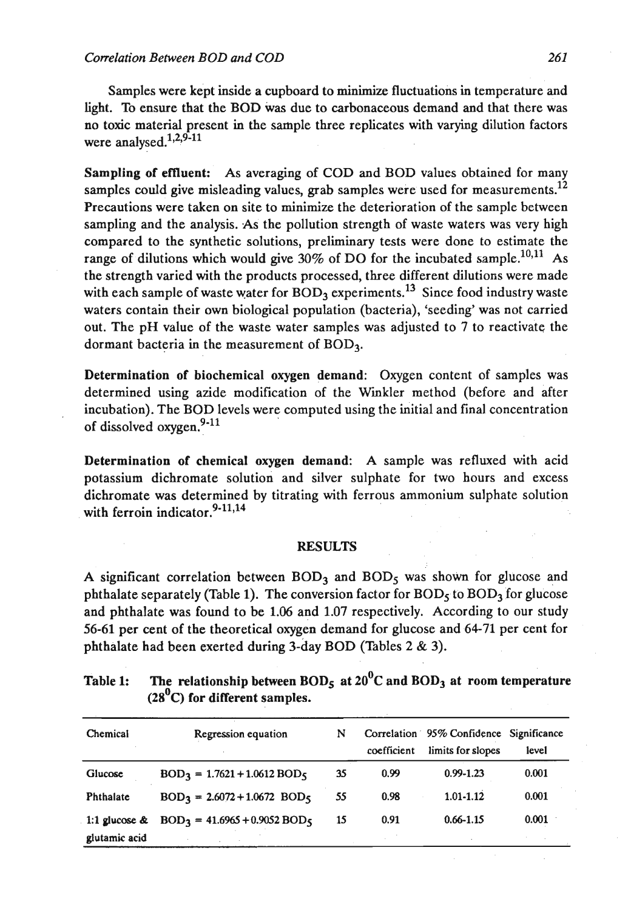Samples were kept inside a cupboard to minimize fluctuations in temperature and light. To ensure that the BOD was due to carbonaceous demand and that there was no toxic material present in the sample three replicates with varying dilution factors were analysed. $1,2,9-11$ 

Sampling of effluent: As averaging of COD and BOD values obtained for many samples could give misleading values, grab samples were used for measurements.<sup>12</sup> Precautions were taken on site to minimize the deterioration of the sample between sampling and the analysis. As the pollution strength of waste waters was very high compared to the synthetic solutions, preliminary tests were done to estimate the range of dilutions which would give 30% of DO for the incubated sample.<sup>10,11</sup> As the strength varied with the products processed, three different dilutions were made with each sample of waste water for  $BOD<sub>2</sub>$  experiments.<sup>13</sup> Since food industry waste waters contain their own biological population (bacteria), 'seeding' was not carried out. The pH value of the waste water samples was adjusted to 7 to reactivate the dormant bacteria in the measurement of BOD3.

Determination of biochemical oxygen demand: Oxygen content of samples was determined using azide modification of the Wmkler method (before and after incubation). The BOD levels were computed using the initial and final concentration of dissolved oxygen. $9-11$ 

Determination of chemical oxygen demand: A sample was refluxed with acid potassium dichromate solution and silver sulphate for two hours and excess dichromate was determined by titrating with ferrous ammonium sulphate solution with ferroin indicator. $9-11,14$ 

#### **RESULTS**

A significant correlation between  $BOD<sub>3</sub>$  and  $BOD<sub>5</sub>$  was shown for glucose and phthalate separately (Table 1). The conversion factor for  $BOD<sub>5</sub>$  to  $BOD<sub>3</sub>$  for glucose and phthalate was found to be 1.06 and 1.07 respectively. According to our study 56-61 per cent of the theoretical oxygen demand for glucose and 64-71 per cent for phthalate had been exerted during 3-day BOD (Tables 2 & 3).

| Table 1: | The relationship between $BODs$ at $200C$ and $BOD3$ at room temperature |
|----------|--------------------------------------------------------------------------|
|          | $(280C)$ for different samples.                                          |

| Chemical         | Regression equation            | N  | coefficient | Correlation 95% Confidence Significance<br>limits for slopes | level |
|------------------|--------------------------------|----|-------------|--------------------------------------------------------------|-------|
| Glucose          | $BOD3 = 1.7621 + 1.0612 BOD5$  | 35 | 0.99        | $0.99 - 1.23$                                                | 0.001 |
| Phthalate        | $BOD3 = 2.6072 + 1.0672 BOD5$  | 55 | 0.98        | 1.01-1.12                                                    | 0.001 |
| 1:1 glucose $\&$ | $BOD3 = 41.6965 + 0.9052 BOD5$ | 15 | 0.91        | $0.66 - 1.15$                                                | 0.001 |
| glutamic acid    |                                |    |             |                                                              |       |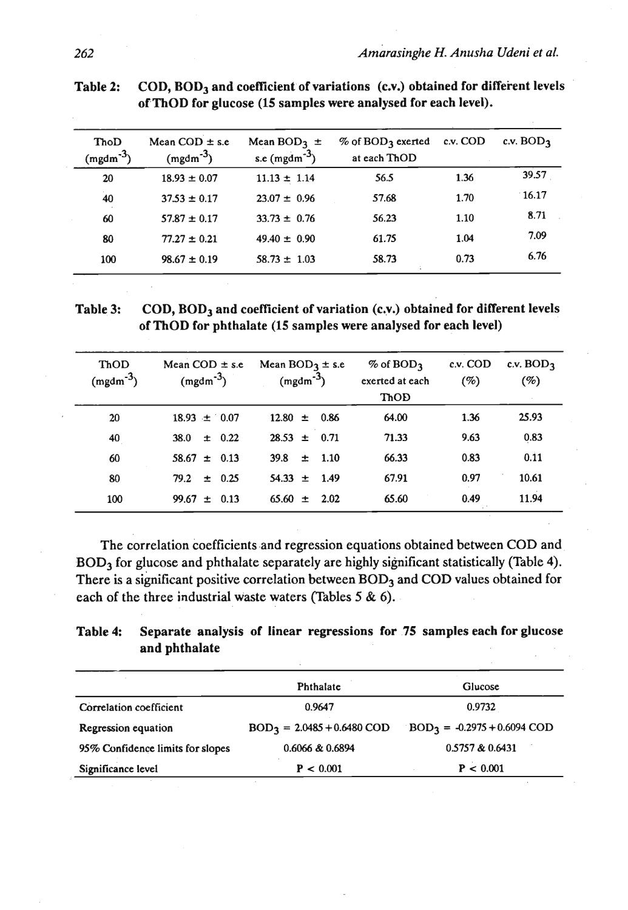| ThoD<br>$(mgdm-3)$ | Mean $COD \pm s.e$<br>$(mgdm-3)$ | Mean BOD <sub>3</sub> $\pm$<br>s.e $(mgdm^{-3})$ | $\%$ of BOD <sub>3</sub> exerted<br>at each ThOD | c.v. COD | c.v. BOD <sub>3</sub> |
|--------------------|----------------------------------|--------------------------------------------------|--------------------------------------------------|----------|-----------------------|
| 20                 | $18.93 \pm 0.07$                 | $11.13 \pm 1.14$                                 | 56.5                                             | 1.36     | 39.57                 |
| 40                 | $37.53 \pm 0.17$                 | $23.07 \pm 0.96$                                 | 57.68                                            | 1.70     | 16.17                 |
| 60                 | $57.87 \pm 0.17$                 | $33.73 \pm 0.76$                                 | 56.23                                            | 1.10     | 8.71                  |
| 80                 | $77.27 \pm 0.21$                 | $49.40 \pm 0.90$                                 | 61.75                                            | 1.04     | 7.09                  |
| 100                | $98.67 \pm 0.19$                 | $58.73 \pm 1.03$                                 | 58.73                                            | 0.73     | 6.76                  |

Table 2: COD, BOD<sub>3</sub> and coefficient of variations (c.v.) obtained for different levels **of ThOD for glucose (15 samples were analysed for each level).** 

Table 3: COD, BOD<sub>3</sub> and coefficient of variation (c.v.) obtained for different levels **of ThOD for phthalate (15 samples were analysed for each level)** 

| ThOD<br>$(mgdm^{-3})$ | Mean COD $\pm$ s.e.<br>$(mgdm-3)$ | Mean $BOD_3 \pm s.e$<br>$(mgdm-3)$ | $%$ of BOD <sub>3</sub><br>exerted at each<br>ThOD | c.v. COD<br>(%) | c.v. $BOD3$<br>$(\%)$ |
|-----------------------|-----------------------------------|------------------------------------|----------------------------------------------------|-----------------|-----------------------|
| 20                    | $18.93 \pm 0.07$                  | $12.80 \pm 0.86$                   | 64.00                                              | 1.36            | 25.93                 |
| 40                    | $\pm$ 0.22<br>38.0                | $28.53 \pm 0.71$                   | 71.33                                              | 9.63            | 0.83                  |
| 60                    | $58.67 \pm 0.13$                  | $\pm$ 1.10<br><b>39.8</b>          | 66.33                                              | 0.83            | 0.11                  |
| 80                    | ± 0.25<br>79.2                    | $54.33 \pm 1.49$                   | 67.91                                              | 0.97            | 10.61                 |
| 100                   | $99.67 \pm 0.13$                  | $65.60 \pm 2.02$                   | 65.60                                              | 0.49            | 11.94                 |

The correlation coefficients and regression equations obtained between COD and BOD3 for glucose and phthalate separately are highly significant statistically (Table 4). There is a significant positive correlation between BOD<sub>3</sub> and COD values obtained for each of the three industrial waste waters (Tables 5 & 6).

**Table 4: Separate analysis of linear regressions for .75 samples each for glucose and phthalate** 

|                                  | Phthalate                    | Glucose                       |
|----------------------------------|------------------------------|-------------------------------|
| Correlation coefficient          | 0.9647                       | 0.9732                        |
| Regression equation              | $BOD3 = 2.0485 + 0.6480$ COD | $BOD3 = -0.2975 + 0.6094 COD$ |
| 95% Confidence limits for slopes | 0.6066 & 0.6894              | 0.5757 & 0.6431               |
| Significance level               | P < 0.001                    | P < 0.001                     |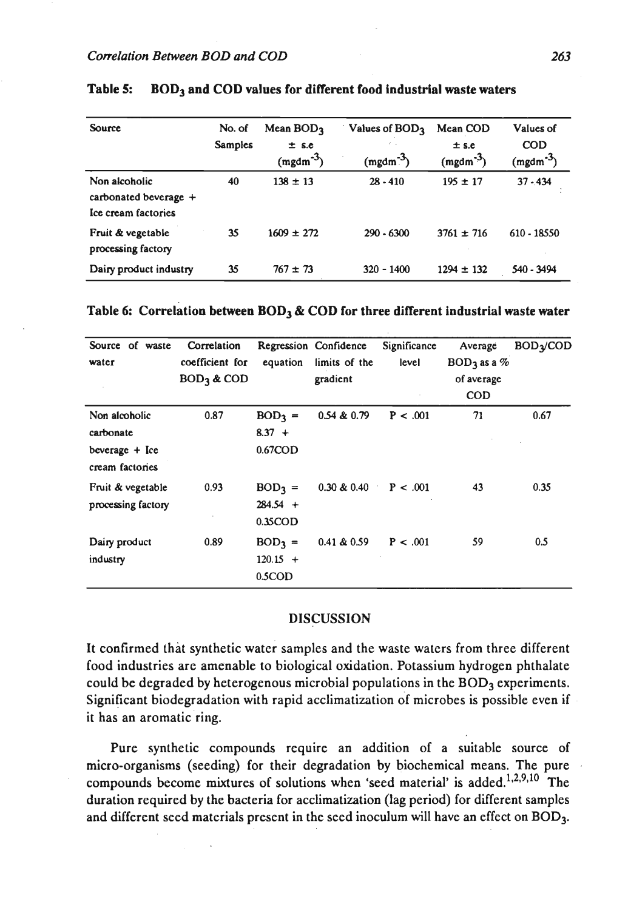| <b>Source</b>                                                   | No. of<br><b>Samples</b> | Mean $BOD3$<br>$±$ s.e<br>$(mgdm-3)$ | Values of BOD <sub>3</sub><br>$\mathcal{E}=\mathcal{E}$<br>$(mgdm-3)$ | Mean COD<br>$±$ s.e<br>$(mgdm^{-3})$ | Values of<br><b>COD</b><br>$(mgdm-3)$ |
|-----------------------------------------------------------------|--------------------------|--------------------------------------|-----------------------------------------------------------------------|--------------------------------------|---------------------------------------|
| Non alcoholic<br>carbonated beverage $+$<br>Ice cream factories | 40                       | $138 \pm 13$                         | $28 - 410$                                                            | $195 \pm 17$                         | $37 - 434$                            |
| Fruit & vegetable<br>processing factory                         | 35                       | $1609 \pm 272$                       | $290 - 6300$                                                          | $3761 \pm 716$                       | 610 - 18550                           |
| Dairy product industry                                          | 35                       | $767 \pm 73$                         | $320 - 1400$                                                          | $1294 \pm 132$                       | 540 - 3494                            |

## Table 5: BOD<sub>3</sub> and COD values for different food industrial waste waters

### **Table 6: Correlation between BOD3** & **COD for three different industrial waste water**

| Source of waste<br>water                                          | Correlation<br>coefficient for<br>$BOD3$ & COD | equation                             | Regression Confidence<br>limits of the<br>gradient | Significance<br>level | Average<br>$BOD3$ as a %<br>of average<br><b>COD</b> | <b>BOD<sub>2</sub>/COD</b> |
|-------------------------------------------------------------------|------------------------------------------------|--------------------------------------|----------------------------------------------------|-----------------------|------------------------------------------------------|----------------------------|
| Non alcoholic<br>carbonate<br>beverage $+$ Ice<br>cream factories | 0.87                                           | $BOD3 =$<br>$8.37 +$<br>$0.67$ COD   | 0.54 & 0.79                                        | P < .001              | 71                                                   | 0.67                       |
| Fruit & vegetable<br>processing factory                           | 0.93                                           | $BOD3 =$<br>$284.54 +$<br>$0.35$ COD | $0.30 \& 0.40$ P < .001                            |                       | 43                                                   | 0.35                       |
| Dairy product<br>industry                                         | 0.89                                           | $BOD3 =$<br>$120.15 +$<br>0.5COD     | 0.41 & 0.59                                        | P < .001              | 59                                                   | 0.5                        |

## **DISCUSSION**

It confirmed that synthetic water samples and the waste waters from three different food industries are amenable to biological oxidation. Potassium hydrogen phthalate could be degraded by heterogenous microbial populations in the BOD<sub>3</sub> experiments. Significant biodegradation with rapid acclimatization of microbes is possible even if it has an aromatic ring.

Pure synthetic compounds require an addition of a suitable source of micro-organisms (seeding) for their degradation by biochemical means. The pure , compounds become mixtures of solutions when 'seed material' is added.<sup>1,2,9,10</sup> The duration required by the bacteria for acclimatization (lag period) for different samples and different seed materials present in the seed inoculum will have an effect on BOD<sub>3</sub>.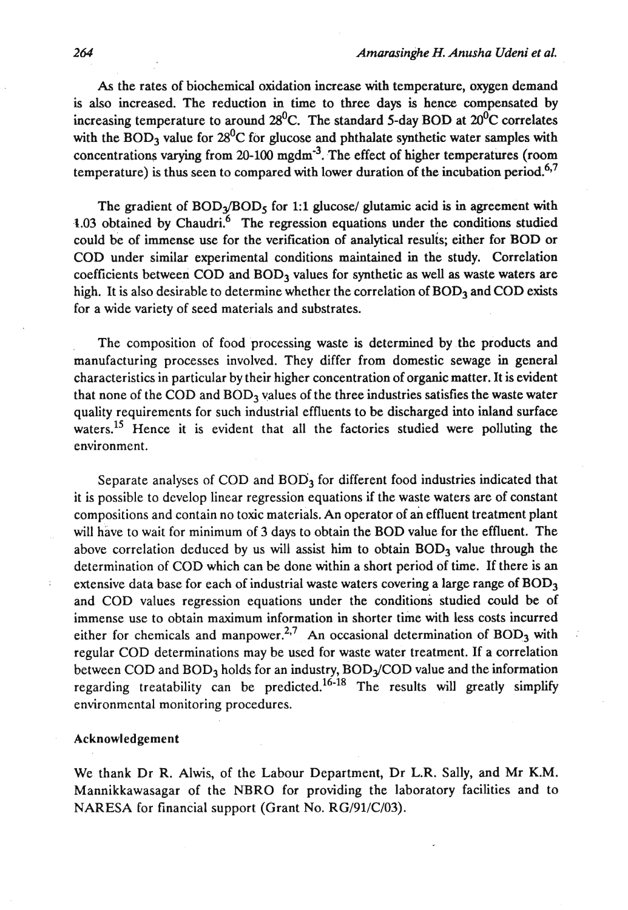**As** the rates of biochemical oxidation increase with temperature, oxygen demand is also increased. The reduction in time to three days is hence compensated by increasing temperature to around  $28^{\circ}$ C. The standard 5-day BOD at  $20^{\circ}$ C correlates with the BOD<sub>3</sub> value for  $28^{\circ}$ C for glucose and phthalate synthetic water samples with concentrations varying from 20-100 mgdm-3. The effect of higher temperatures (room temperature) is thus seen to compared with lower duration of the incubation period.<sup>6,7</sup>

The gradient of  $BOD<sub>3</sub>/BOD<sub>5</sub>$  for 1:1 glucose/ glutamic acid is in agreement with 1.03 obtained by Chaudri.<sup>6</sup> The regression equations under the conditions studied could be of immense use for the verification of analytical results; either for BOD or COD under similar experimental conditions maintained in the study. Correlation coefficients between  $\text{COD}$  and  $\text{BOD}_3$  values for synthetic as well as waste waters are high. It is also desirable to determine whether the correlation of  $BOD<sub>3</sub>$  and COD exists for a wide variety of seed materials and substrates.

The composition of food processing waste is determined by the products and manufacturing processes involved. They differ from domestic sewage in general characteristics in particular by their higher concentration of organic matter. It is evident that none of the COD and  $BOD<sub>3</sub>$  values of the three industries satisfies the waste water quality requirements for such industrial effluents to be discharged into inland surface waters.<sup>15</sup> Hence it is evident that all the factories studied were polluting the environment.

Separate analyses of COD and  $BOD<sub>3</sub>$  for different food industries indicated that it is possible to develop linear regression equations if the waste waters are of constant compositions and contain no toxic materiaIs. An operator of an effluent treatment plant will have to wait for minimum of 3 days to obtain the BOD value for the effluent. The above correlation deduced by us will assist him to obtain  $BOD<sub>3</sub>$  value through the determination of COD which can be done within a short period of time. If there is an extensive data base for each of industrial waste waters covering a large range of  $BOD<sub>3</sub>$ and COD values regression equations under the conditions studied could be of immense use to obtain maximum information in shorter time with less costs incurred either for chemicals and manpower.<sup>2,7</sup> An occasional determination of BOD<sub>3</sub> with regular COD determinations may be used for waste water treatment. If a correlation between COD and  $BOD<sub>3</sub>$  holds for an industry,  $BOD<sub>3</sub>/COD$  value and the information regarding treatability can be predicted.<sup>16-18</sup> The results will greatly simplify environmental monitoring procedures.

#### Acknowledgement

We thank Dr R. Alwis, of the Labour Department, Dr L.R. Sally, and Mr K.M. Mannikkawasagar of the NBRO for providing the laboratory facilities and to NARESA for financial support (Grant No. RG/91/C/03).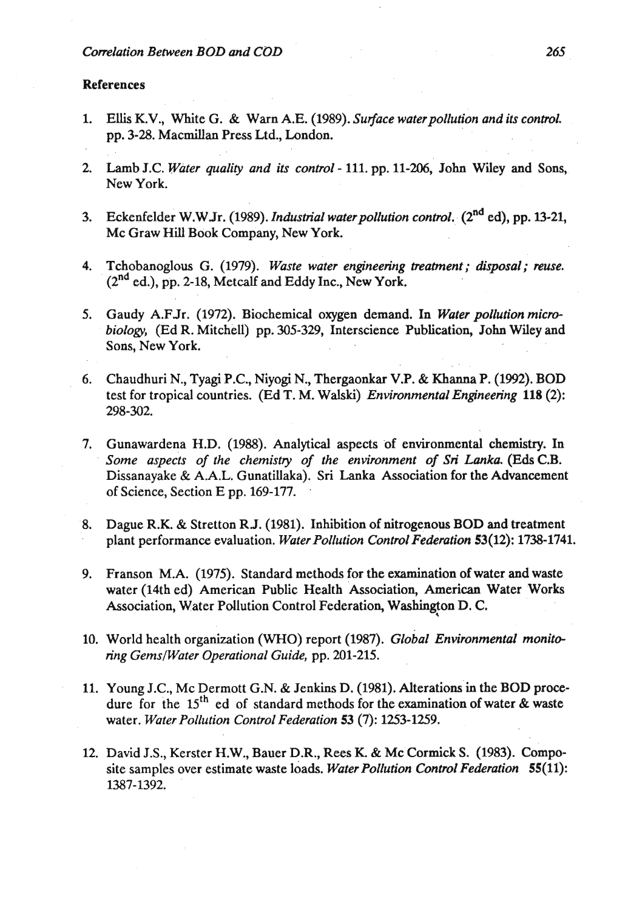### References

- 1. Ellis K.V., White G. & Warn A.E. (1989). *Surface waterpollution* and *its control.*  pp. 3-28. Macmillan Press Ltd., London.
- 2. Lamb J.C. *Water quality and its control*  111. pp. 11-206, John Wiley and Sons, New York.
- 3. Eckenfelder W.WJr. (1989). *zndusbid waterpollution control.* (2nd ed), **pp.** 13-21, Mc Graw Hill Book Company, New York.
- 4. Tchobanoglous G. (1979). *Waste water engineering treatment; disposal; muse.*   $(2^{nd}$  ed.), pp. 2-18, Metcalf and Eddy Inc., New York.
- **5.** Gaudy A.FJr. (1972). Biochemical oxygen demand. In *Water pollution microbiology,* (Ed *R.* Mitchell) pp. 305-329, Interscience Publication, John Wiley and Sons, New York.
- **6.** Chaudhuri N., Tyagi P.C., Niyogi N., Thergaonkar **V.P.** & **Khanna** P. (1992). BOD test for tropical countries. (Ed T. M. Walski) *Environmental Engineering* 118 *(2):*  298-302.
- 7. Gunawardena H.D. (1988). Analytical aspects of environmental chemistry. In Some aspects of the chemistry of the environment of Sri Lanka (Eds C.B. Dissanayake & A.A.L. Gunatillaka). Sri Lanka Association for the Advancement of Science, Section E pp. 169-177.
- 8. Dague R.K. & Stretton RJ. (1981). Inhibition of nitrogenous BOD and treatment plant performance evaluation. *Water Pollution Control Federation* 53(12): 1738-1741.
- 9. Franson M.A. (1975). Standard methods for the examination of water and waste water (14th ed) American Public Health Association, American Water Works Association, Water Pollution Control Federation, Washington D, C.
- 10. World health organization (WHO) report (1987). *Global Environmental monitoring GemslWater Operational Guide,* pp. 201-215.
- 11. Young J.C., Mc Dermott G.N. & Jenkins D. (1981). Alterations in the BOD procedure for the  $15<sup>th</sup>$  ed of standard methods for the examination of water & waste water. *Water Pollution Control Federation* 53 (7): 1253-1259.
- 12. David J.S., Kerster H.W., Bauer D.R., Rees K. & Mc Cormick S. (1983). Composite samples over estimate waste loads. *Water Pollution Control Federation* 55(11): 1387-1392.